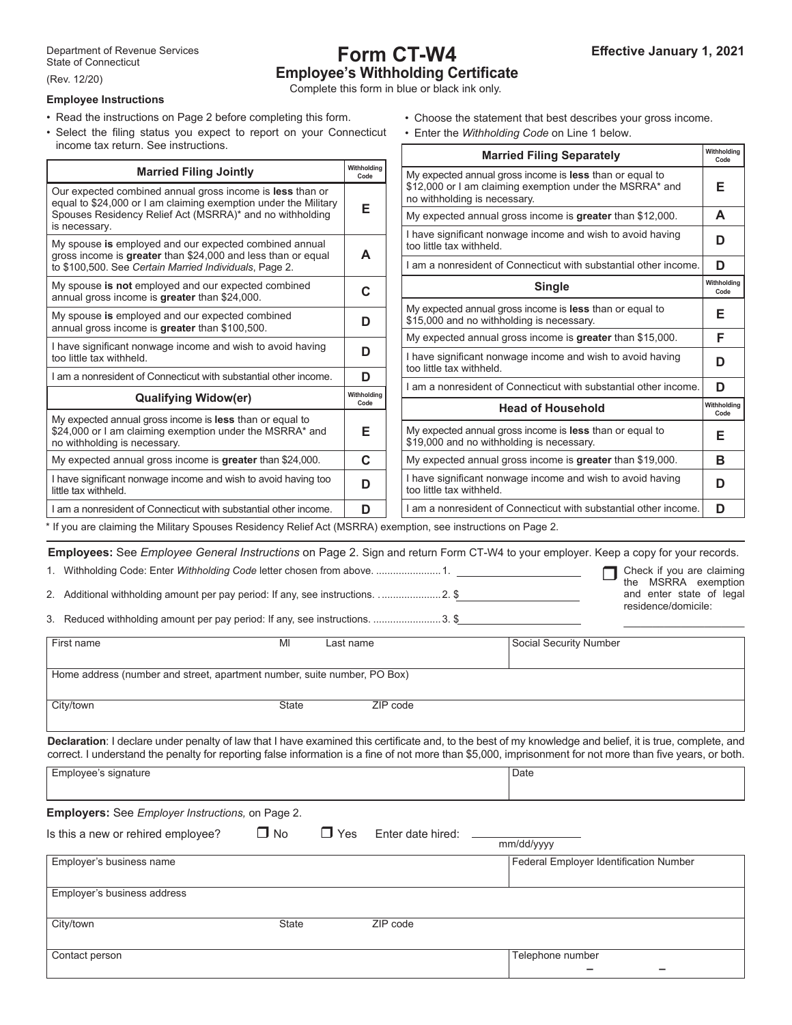# **Form CT-W4 Employee's Withholding Certificate**

Complete this form in blue or black ink only.

# **Employee Instructions**

- Read the instructions on Page 2 before completing this form.
- Select the filing status you expect to report on your Connecticut
- Choose the statement that best describes your gross income.
- Enter the *Withholding Code* on Line 1 below.

| income tax return. See instructions.                                                                                                                                                                                                                                                                                                                                                                             |                          | <b>Married Filing Separately</b>                                                                                                                                                                                                                                                                                      | Withholding<br>Code |
|------------------------------------------------------------------------------------------------------------------------------------------------------------------------------------------------------------------------------------------------------------------------------------------------------------------------------------------------------------------------------------------------------------------|--------------------------|-----------------------------------------------------------------------------------------------------------------------------------------------------------------------------------------------------------------------------------------------------------------------------------------------------------------------|---------------------|
| <b>Married Filing Jointly</b><br>Our expected combined annual gross income is less than or                                                                                                                                                                                                                                                                                                                       | Withholding<br>Code<br>Е | My expected annual gross income is less than or equal to<br>\$12,000 or I am claiming exemption under the MSRRA* and                                                                                                                                                                                                  | Е                   |
| equal to \$24,000 or I am claiming exemption under the Military<br>Spouses Residency Relief Act (MSRRA)* and no withholding                                                                                                                                                                                                                                                                                      |                          | no withholding is necessary.<br>My expected annual gross income is greater than \$12,000.                                                                                                                                                                                                                             | A                   |
| is necessary.                                                                                                                                                                                                                                                                                                                                                                                                    |                          | I have significant nonwage income and wish to avoid having                                                                                                                                                                                                                                                            | D                   |
| My spouse is employed and our expected combined annual<br>gross income is greater than \$24,000 and less than or equal<br>to \$100,500. See Certain Married Individuals, Page 2.                                                                                                                                                                                                                                 | A                        | too little tax withheld.<br>I am a nonresident of Connecticut with substantial other income.                                                                                                                                                                                                                          | D                   |
| My spouse is not employed and our expected combined<br>annual gross income is greater than \$24,000.                                                                                                                                                                                                                                                                                                             | $\mathbf C$              | <b>Single</b>                                                                                                                                                                                                                                                                                                         | Withholding<br>Code |
| My spouse is employed and our expected combined<br>annual gross income is greater than \$100,500.                                                                                                                                                                                                                                                                                                                | D                        | My expected annual gross income is less than or equal to<br>\$15,000 and no withholding is necessary.                                                                                                                                                                                                                 | Е                   |
| I have significant nonwage income and wish to avoid having                                                                                                                                                                                                                                                                                                                                                       |                          | My expected annual gross income is greater than \$15,000.                                                                                                                                                                                                                                                             | F                   |
| too little tax withheld.                                                                                                                                                                                                                                                                                                                                                                                         | D                        | I have significant nonwage income and wish to avoid having<br>too little tax withheld.                                                                                                                                                                                                                                | D                   |
| I am a nonresident of Connecticut with substantial other income.                                                                                                                                                                                                                                                                                                                                                 | D                        | I am a nonresident of Connecticut with substantial other income.                                                                                                                                                                                                                                                      | D                   |
| <b>Qualifying Widow(er)</b>                                                                                                                                                                                                                                                                                                                                                                                      | Withholding<br>Code      | <b>Head of Household</b>                                                                                                                                                                                                                                                                                              | Withholding         |
| My expected annual gross income is less than or equal to<br>\$24,000 or I am claiming exemption under the MSRRA* and<br>no withholding is necessary.                                                                                                                                                                                                                                                             | Е                        | My expected annual gross income is less than or equal to<br>\$19,000 and no withholding is necessary.                                                                                                                                                                                                                 | Code<br>Е           |
| My expected annual gross income is greater than \$24,000.                                                                                                                                                                                                                                                                                                                                                        | $\mathbf C$              | My expected annual gross income is greater than \$19,000.                                                                                                                                                                                                                                                             | B                   |
| I have significant nonwage income and wish to avoid having too<br>little tax withheld.                                                                                                                                                                                                                                                                                                                           | D                        | I have significant nonwage income and wish to avoid having<br>too little tax withheld.                                                                                                                                                                                                                                | D                   |
| I am a nonresident of Connecticut with substantial other income.                                                                                                                                                                                                                                                                                                                                                 | D                        | I am a nonresident of Connecticut with substantial other income.                                                                                                                                                                                                                                                      | D                   |
| If you are claiming the Military Spouses Residency Relief Act (MSRRA) exemption, see instructions on Page 2.                                                                                                                                                                                                                                                                                                     |                          |                                                                                                                                                                                                                                                                                                                       |                     |
| Employees: See Employee General Instructions on Page 2. Sign and return Form CT-W4 to your employer. Keep a copy for your records.<br>Check if you are claiming<br>the MSRRA exemption<br>2. Additional withholding amount per pay period: If any, see instructions.  2. \$<br>and enter state of legal<br>residence/domicile:<br>3. Reduced withholding amount per pay period: If any, see instructions.  3. \$ |                          |                                                                                                                                                                                                                                                                                                                       |                     |
| MI<br>First name                                                                                                                                                                                                                                                                                                                                                                                                 | Last name                | Social Security Number                                                                                                                                                                                                                                                                                                |                     |
| Home address (number and street, apartment number, suite number, PO Box)                                                                                                                                                                                                                                                                                                                                         |                          |                                                                                                                                                                                                                                                                                                                       |                     |
| City/town<br>State                                                                                                                                                                                                                                                                                                                                                                                               |                          | ZIP code                                                                                                                                                                                                                                                                                                              |                     |
|                                                                                                                                                                                                                                                                                                                                                                                                                  |                          |                                                                                                                                                                                                                                                                                                                       |                     |
|                                                                                                                                                                                                                                                                                                                                                                                                                  |                          | Declaration: I declare under penalty of law that I have examined this certificate and, to the best of my knowledge and belief, it is true, complete, and<br>correct. I understand the penalty for reporting false information is a fine of not more than \$5,000, imprisonment for not more than five years, or both. |                     |
| Employee's signature                                                                                                                                                                                                                                                                                                                                                                                             |                          | Date                                                                                                                                                                                                                                                                                                                  |                     |
|                                                                                                                                                                                                                                                                                                                                                                                                                  |                          |                                                                                                                                                                                                                                                                                                                       |                     |
| <b>Employers:</b> See Employer Instructions, on Page 2.                                                                                                                                                                                                                                                                                                                                                          |                          |                                                                                                                                                                                                                                                                                                                       |                     |
| $\Box$ No<br>$\Box$ Yes<br>Is this a new or rehired employee?                                                                                                                                                                                                                                                                                                                                                    |                          | Enter date hired:<br>mm/dd/yyyy                                                                                                                                                                                                                                                                                       |                     |
| Employer's business name                                                                                                                                                                                                                                                                                                                                                                                         |                          | Federal Employer Identification Number                                                                                                                                                                                                                                                                                |                     |
| Employer's business address                                                                                                                                                                                                                                                                                                                                                                                      |                          |                                                                                                                                                                                                                                                                                                                       |                     |
|                                                                                                                                                                                                                                                                                                                                                                                                                  |                          |                                                                                                                                                                                                                                                                                                                       |                     |
| City/town<br>State                                                                                                                                                                                                                                                                                                                                                                                               |                          | ZIP code                                                                                                                                                                                                                                                                                                              |                     |

Contact person Telephone number **– –**